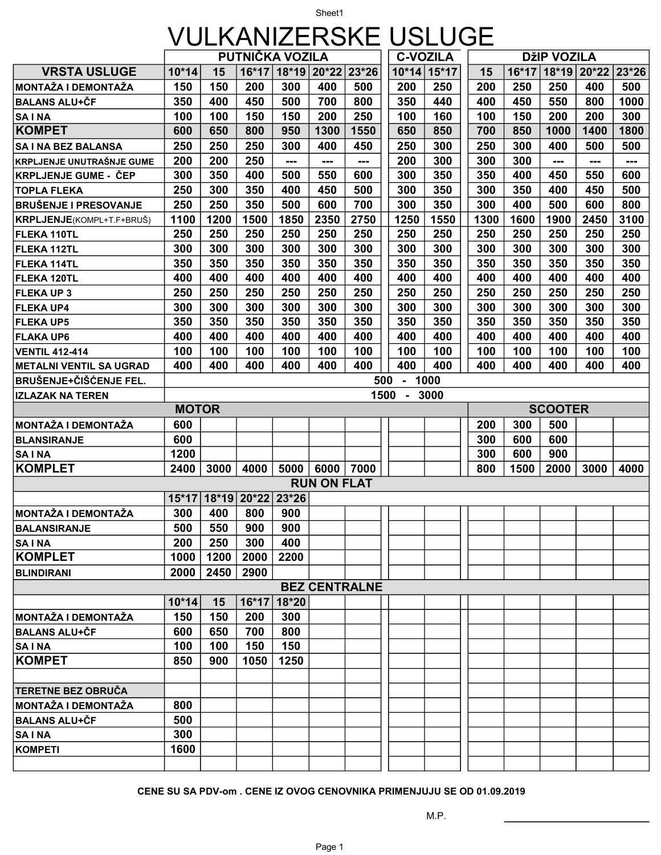## Sheet1 VULKANIZERSKE USLUGE

|                                     | PUTNIČKA VOZILA |      |             |         |                    |                      | <b>C-VOZILA</b> |               | DžIP VOZILA |         |                |                 |       |
|-------------------------------------|-----------------|------|-------------|---------|--------------------|----------------------|-----------------|---------------|-------------|---------|----------------|-----------------|-------|
| <b>VRSTA USLUGE</b>                 | $10*14$         | 15   | 16*17       |         | 18*19 20*22 23*26  |                      |                 | $10*14$ 15*17 | 15          | $16*17$ |                | $18*19$ 20 * 22 | 23*26 |
| MONTAŽA I DEMONTAŽA                 | 150             | 150  | 200         | 300     | 400                | 500                  | 200             | 250           | 200         | 250     | 250            | 400             | 500   |
| <b>BALANS ALU+ČF</b>                | 350             | 400  | 450         | 500     | 700                | 800                  | 350             | 440           | 400         | 450     | 550            | 800             | 1000  |
| <b>SAINA</b>                        | 100             | 100  | 150         | 150     | 200                | 250                  | 100             | 160           | 100         | 150     | 200            | 200             | 300   |
| <b>KOMPET</b>                       | 600             | 650  | 800         | 950     | 1300               | 1550                 | 650             | 850           | 700         | 850     | 1000           | 1400            | 1800  |
| SA I NA BEZ BALANSA                 | 250             | 250  | 250         | 300     | 400                | 450                  | 250             | 300           | 250         | 300     | 400            | 500             | 500   |
| KRPLJENJE UNUTRAŠNJE GUME           | 200             | 200  | 250         | ---     | ---                | ---                  | 200             | 300           | 300         | 300     | ---            | ---             | ---   |
| <b>KRPLJENJE GUME - ČEP</b>         | 300             | 350  | 400         | 500     | 550                | 600                  | 300             | 350           | 350         | 400     | 450            | 550             | 600   |
| <b>TOPLA FLEKA</b>                  | 250             | 300  | 350         | 400     | 450                | 500                  | 300             | 350           | 300         | 350     | 400            | 450             | 500   |
| <b>BRUŠENJE I PRESOVANJE</b>        | 250             | 250  | 350         | 500     | 600                | 700                  | 300             | 350           | 300         | 400     | 500            | 600             | 800   |
| KRPLJENJE(KOMPL+T.F+BRUŠ)           | 1100            | 1200 | 1500        | 1850    | 2350               | 2750                 | 1250            | 1550          | 1300        | 1600    | 1900           | 2450            | 3100  |
| FLEKA 110TL                         | 250             | 250  | 250         | 250     | 250                | 250                  | 250             | 250           | 250         | 250     | 250            | 250             | 250   |
| <b>FLEKA 112TL</b>                  | 300             | 300  | 300         | 300     | 300                | 300                  | 300             | 300           | 300         | 300     | 300            | 300             | 300   |
| FLEKA 114TL                         | 350             | 350  | 350         | 350     | 350                | 350                  | 350             | 350           | 350         | 350     | 350            | 350             | 350   |
| FLEKA 120TL                         | 400             | 400  | 400         | 400     | 400                | 400                  | 400             | 400           | 400         | 400     | 400            | 400             | 400   |
| <b>FLEKA UP 3</b>                   | 250             | 250  | 250         | 250     | 250                | 250                  | 250             | 250           | 250         | 250     | 250            | 250             | 250   |
| <b>FLEKA UP4</b>                    | 300             | 300  | 300         | 300     | 300                | 300                  | 300             | 300           | 300         | 300     | 300            | 300             | 300   |
| <b>FLEKA UP5</b>                    | 350             | 350  | 350         | 350     | 350                | 350                  | 350             | 350           | 350         | 350     | 350            | 350             | 350   |
| <b>FLAKA UP6</b>                    | 400             | 400  | 400         | 400     | 400                | 400                  | 400             | 400           | 400         | 400     | 400            | 400             | 400   |
| <b>VENTIL 412-414</b>               | 100             | 100  | 100         | 100     | 100                | 100                  | 100             | 100           | 100         | 100     | 100            | 100             | 100   |
| <b>METALNI VENTIL SA UGRAD</b>      | 400             | 400  | 400         | 400     | 400                | 400                  | 400             | 400           | 400         | 400     | 400            | 400             | 400   |
| BRUŠENJE+ČIŠĆENJE FEL.              |                 |      |             |         |                    | 500                  | $\mathbf{u}$ .  | 1000          |             |         |                |                 |       |
| <b>IZLAZAK NA TEREN</b>             |                 |      |             |         |                    |                      | 1500<br>$-3000$ |               |             |         |                |                 |       |
|                                     | <b>MOTOR</b>    |      |             |         |                    |                      |                 |               |             |         | <b>SCOOTER</b> |                 |       |
|                                     |                 |      |             |         |                    |                      |                 |               |             |         |                |                 |       |
| MONTAŽA I DEMONTAŽA                 | 600             |      |             |         |                    |                      |                 |               | 200         | 300     | 500            |                 |       |
| <b>BLANSIRANJE</b>                  | 600             |      |             |         |                    |                      |                 |               | 300         | 600     | 600            |                 |       |
| <b>SAINA</b>                        | 1200            |      |             |         |                    |                      |                 |               | 300         | 600     | 900            |                 |       |
| <b>KOMPLET</b>                      | 2400            | 3000 | 4000        | 5000    | 6000   7000        |                      |                 |               | 800         | 1500    | 2000           | 3000            | 4000  |
|                                     |                 |      |             |         | <b>RUN ON FLAT</b> |                      |                 |               |             |         |                |                 |       |
|                                     | $15*17$         |      | 18*19 20*22 | $23*26$ |                    |                      |                 |               |             |         |                |                 |       |
| MONTAŽA I DEMONTAŽA                 | 300             | 400  | 800         | 900     |                    |                      |                 |               |             |         |                |                 |       |
| <b>BALANSIRANJE</b>                 | 500             | 550  | 900         | 900     |                    |                      |                 |               |             |         |                |                 |       |
| <b>SAINA</b>                        | 200             | 250  | 300         | 400     |                    |                      |                 |               |             |         |                |                 |       |
| <b>KOMPLET</b>                      | 1000            | 1200 | 2000        | 2200    |                    |                      |                 |               |             |         |                |                 |       |
| <b>BLINDIRANI</b>                   | 2000            | 2450 | 2900        |         |                    |                      |                 |               |             |         |                |                 |       |
|                                     |                 |      |             |         |                    | <b>BEZ CENTRALNE</b> |                 |               |             |         |                |                 |       |
|                                     | $10*14$         | 15   | 16*17       | 18*20   |                    |                      |                 |               |             |         |                |                 |       |
| MONTAŽA I DEMONTAŽA                 | 150             | 150  | 200         | 300     |                    |                      |                 |               |             |         |                |                 |       |
| <b>BALANS ALU+ČF</b>                | 600             | 650  | 700         | 800     |                    |                      |                 |               |             |         |                |                 |       |
| <b>SAINA</b>                        | 100             | 100  | 150         | 150     |                    |                      |                 |               |             |         |                |                 |       |
|                                     | 850             | 900  | 1050        | 1250    |                    |                      |                 |               |             |         |                |                 |       |
|                                     |                 |      |             |         |                    |                      |                 |               |             |         |                |                 |       |
| <b>KOMPET</b><br>TERETNE BEZ OBRUČA |                 |      |             |         |                    |                      |                 |               |             |         |                |                 |       |
| MONTAŽA I DEMONTAŽA                 | 800             |      |             |         |                    |                      |                 |               |             |         |                |                 |       |
| <b>BALANS ALU+ČF</b>                | 500             |      |             |         |                    |                      |                 |               |             |         |                |                 |       |
| <b>SAINA</b>                        | 300             |      |             |         |                    |                      |                 |               |             |         |                |                 |       |
| <b>KOMPETI</b>                      | 1600            |      |             |         |                    |                      |                 |               |             |         |                |                 |       |

CENE SU SA PDV-om . CENE IZ OVOG CENOVNIKA PRIMENJUJU SE OD 01.09.2019

M.P.